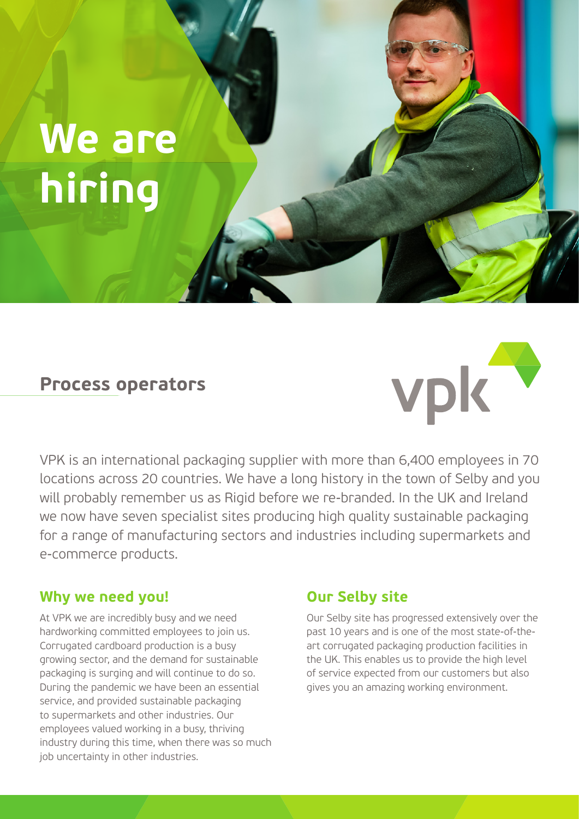# **We are hiring**

## **Process operators**



VPK is an international packaging supplier with more than 6,400 employees in 70 locations across 20 countries. We have a long history in the town of Selby and you will probably remember us as Rigid before we re-branded. In the UK and Ireland we now have seven specialist sites producing high quality sustainable packaging for a range of manufacturing sectors and industries including supermarkets and e-commerce products.

#### **Why we need you!**

At VPK we are incredibly busy and we need hardworking committed employees to join us. Corrugated cardboard production is a busy growing sector, and the demand for sustainable packaging is surging and will continue to do so. During the pandemic we have been an essential service, and provided sustainable packaging to supermarkets and other industries. Our employees valued working in a busy, thriving industry during this time, when there was so much job uncertainty in other industries.

#### **Our Selby site**

Our Selby site has progressed extensively over the past 10 years and is one of the most state-of-theart corrugated packaging production facilities in the UK. This enables us to provide the high level of service expected from our customers but also gives you an amazing working environment.